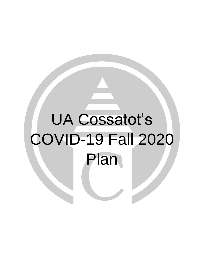# UA Cossatot's COVID-19 Fall 2020 Plan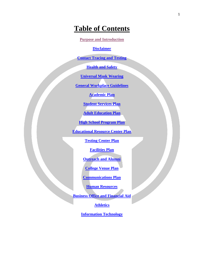# **Table of Contents**

**[Purpose and Introduction](#page-2-0)**

**[Disclaimer](#page-2-1)**

**[Contact Tracing and Testing](#page-2-2)**

**[Health and Safety](#page-3-0)**

**[Universal Mask Wearing](#page-3-1)**

**[General Workplace Guidelines](#page-4-0)**

**[Academic Plan](#page-6-0)**

**[Student Services](#page-7-0) Plan**

**[Adult Education Plan](#page-8-0)**

**[High School Program Plan](#page-9-0)**

**[Educational Resource Center Plan](#page-10-0)**

**[Testing Center Plan](#page-10-1)**

**[Facilities Plan](#page-11-0)**

**[Outreach and Alumni](#page-11-1)**

**[College Venue](#page-18-0) Plan**

**[Communications](#page-20-0) Plan**

**[Human Resources](#page-20-1)**

**[Business Office and Financial Aid](#page-21-0)**

**[Athletics](#page-22-0)**

**[Information Technology](#page-25-0)**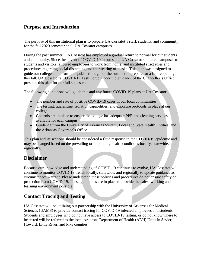## <span id="page-2-0"></span>**Purpose and Introduction**

The purpose of this institutional plan is to prepare UA Cossatot's staff, students, and community for the fall 2020 semester at all UA Cossatot campuses.

During the past summer, UA Cossatot has employed a gradual return to normal for our students and community. Since the advent of COVID-19 in our state, UA Cossatot shuttered campuses to students and visitors, allowed employees to work from home, and instituted strict rules and procedures regarding social distancing and the wearing of masks. This plan was designed to guide our college and inform the public throughout the summer to prepare for a full reopening this fall. UA Cossatot's COVID-19 Task Force, under the guidance of the Chancellor's Office, presents this plan for our fall semester.

The following conditions will guide this and any future COVID-19 plans at UA Cossatot:

- The number and rate of positive COVID-19 cases in our local communities.
- The testing, quarantine, isolation capabilities, and exposure protocols in place at our college.
- Controls are in place to ensure the college has adequate PPE and cleaning services available for each campus.
- Guidance from the University of Arkansas System, Local and State Health Entities, and the Arkansas Governor's Office.

This plan and its sections should be considered a fluid response to the COVID-19 epidemic and may be changed based on the prevailing or impending health conditions locally, statewide, and regionally.

#### <span id="page-2-1"></span>**Disclaimer**

Because our knowledge and understanding of COVID-19 continues to evolve, UA Cossatot will continue to monitor COVID-19 trends locally, statewide, and regionally to update guidance as circumstances warrant. Please understand these policies and procedures do not ensure safety or protection from COVID-19. These guidelines are in place to provide the safest working and learning environment possible.

#### <span id="page-2-2"></span>**Contact Tracing and Testing**

UA Cossatot will be utilizing our partnership with the University of Arkansas for Medical Sciences (UAMS) to provide contact tracing for COVID-19 infected employees and students. Students and employees who do not have access to COVID-19 testing, or do not know where to be tested will be referred to the local Arkansas Department of Health (ADH) Units in Sevier, Howard, Little River, and Pike counties.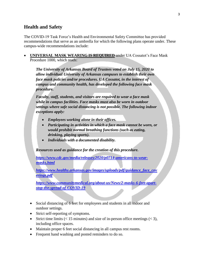# <span id="page-3-0"></span>**Health and Safety**

The COVID-19 Task Force's Health and Environmental Safety Committee has provided recommendations that serve as an umbrella for which the following plans operate under. These campus-wide recommendations include:

<span id="page-3-1"></span> **UNIVERSAL MASK WEARING IS REQUIRED** under UA Cossatot's Face Mask Procedure 1000, which reads:

*The University of Arkansas Board of Trustees voted on July 15, 2020 to allow individual University of Arkansas campuses to establish their own face mask policies and/or procedures. UA Cossatot, in the interest of campus and community health, has developed the following face mask procedure.*

*Faculty, staff, students, and visitors are required to wear a face mask while in campus facilities. Face masks must also be worn in outdoor settings where safe social distancing is not possible. The following indoor exceptions apply:*

- *Employees working alone in their offices.*
- *Participating in activities in which a face mask cannot be worn, or would prohibit normal breathing functions (such as eating, drinking, playing sports).*
- *Individuals with a documented disability.*

*Resources used as guidance for the creation of this procedure.*

*[https://www.cdc.gov/media/releases/2020/p0714-americans-to-wear](https://www.cdc.gov/media/releases/2020/p0714-americans-to-wear-masks.html)[masks.html](https://www.cdc.gov/media/releases/2020/p0714-americans-to-wear-masks.html)*

*[https://www.healthy.arkansas.gov/images/uploads/pdf/guidance\\_face\\_cov](https://www.healthy.arkansas.gov/images/uploads/pdf/guidance_face_coverings.pdf) [erings.pdf](https://www.healthy.arkansas.gov/images/uploads/pdf/guidance_face_coverings.pdf)*

*[https://www.communitymedical.org/about-us/News/2-masks-6-feet-apart](https://www.communitymedical.org/about-us/News/2-masks-6-feet-apart-stop-the-spread-of-COVID-19)[stop-the-spread-of-COVID-19](https://www.communitymedical.org/about-us/News/2-masks-6-feet-apart-stop-the-spread-of-COVID-19)*

- Social distancing of 6 feet for employees and students in all indoor and outdoor settings.
- Strict self-reporting of symptoms.
- Strict time limits  $(< 15$  minutes) and size of in-person office meetings  $(< 3)$ , including office spaces.
- Maintain proper 6 feet social distancing in all campus rest rooms.
- Frequent hand washing and posted reminders to do so.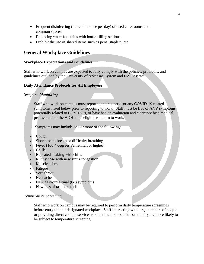- Frequent disinfecting (more than once per day) of used classrooms and common spaces.
- Replacing water fountains with bottle-filling stations.
- Prohibit the use of shared items such as pens, staplers, etc.

## <span id="page-4-0"></span>**General Workplace Guidelines**

#### **Workplace Expectations and Guidelines**

Staff who work on campus are expected to fully comply with the policies, protocols, and guidelines outlined by the University of Arkansas System and UA Cossatot.

#### **Daily Attendance Protocols for All Employees**

#### *Symptom Monitoring*

Staff who work on campus must report to their supervisor any COVID-19 related symptoms listed below prior to reporting to work. Staff must be free of ANY symptoms potentially related to COVID-19, or have had an evaluation and clearance by a medical professional or the ADH to be eligible to return to work.

Symptoms may include one or more of the following:

- Cough
- Shortness of breath or difficulty breathing
- Fever (100.4 degrees Fahrenheit or higher)
- Chills
- Repeated shaking with chills
- Runny nose with new sinus congestion
- Muscle aches
- Fatigue
- Sore throat
- Headache
- New gastrointestinal (GI) symptoms
- New loss of taste or smell

#### *Temperature Screening*

Staff who work on campus may be required to perform daily temperature screenings before entry to their designated workplace. Staff interacting with large numbers of people or providing direct contact services to other members of the community are more likely to be subject to temperature screening.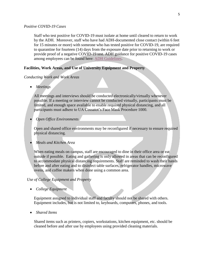#### *Positive COVID-19 Cases*

Staff who test positive for COVID-19 must isolate at home until cleared to return to work by the ADH. Moreover, staff who have had ADH-documented close contact (within 6 feet for 15 minutes or more) with someone who has tested positive for COVID-19, are required to quarantine for fourteen (14) days from the exposure date prior to returning to work or provide proof of a negative COVID-19 test. ADH guidance for positive COVID-19 cases among employees can be found here: [ADH Guidelines.](https://www.cccua.edu/Content/Uploads/cccua/images/News/ADH%20Protocol%20for%20Positive%20COVID-19%20Case%20(003).pdf)

#### **Facilities, Work Areas, and Use of University Equipment and Property**

#### *Conducting Work and Work Areas*

*Meetings*

All meetings and interviews should be conducted electronically/virtually whenever possible. If a meeting or interview cannot be conducted virtually, participants must be limited, and enough space available to enable required physical distancing, and all participants must adhere to UA Cossatot's Face Mask Procedure 1000.

*Open Office Environments*

Open and shared office environments may be reconfigured if necessary to ensure required physical distancing.

*Meals and Kitchen Area*

When eating meals on campus, staff are encouraged to dine in their office area or eat outside if possible. Eating and gathering is only allowed in areas that can be reconfigured to accommodate physical distancing requirements. Staff are reminded to wash their hands before and after eating and to disinfect table surfaces, refrigerator handles, microwave ovens, and coffee makers when done using a common area.

#### *Use of College Equipment and Property*

*College Equipment*

Equipment assigned to individual staff and faculty should not be shared with others. Equipment includes, but is not limited to, keyboards, computers, phones, and tools.

*Shared Items*

Shared items such as printers, copiers, workstations, kitchen equipment, etc. should be cleaned before and after use by employees using provided cleaning materials.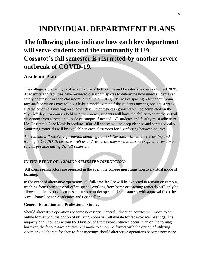# **INDIVIDUAL DEPARTMENT PLANS**

# **The following plans indicate how each key department will serve students and the community if UA Cossatot's fall semester is disrupted by another severe outbreak of COVID-19.**

# <span id="page-6-0"></span>**Academic Plan**

The college is preparing to offer a mixture of both online and face-to-face courses for fall 2020. Academics and facilities have reviewed classroom spaces to determine how many students can safely be present in each classroom to maintain CDC guidelines of spacing 6 feet apart. Some face-to-face classes may follow a hybrid model with half the students meeting one day a week and the other half meeting on another day. Other tasks/assignments will be completed on the "hybrid" day. For courses held in Zoom rooms, students will have the ability to enter the virtual classroom from a location outside of campus if needed. All students and faculty must adhere to UA Cossatot's Face Mask Procedure 1000. All spaces will be deep cleaned and sanitized daily. Sanitizing materials will be available in each classroom for disinfecting between courses.

*All students will receive information detailing how UA Cossatot will handle the testing and tracing of COVID-19 cases, as well as and resources they need to be successful and remain as safe as possible during the fall semester.*

#### *IN THE EVENT OF A MAJOR SEMESTER DISRUPTION:*

All courses/instructors are prepared in the event the college must transition to a virtual mode of learning.

In the event of alternative operations, all full-time faculty will be expected to remain on campus, teaching from their personal office space. Working from home or teaching remotely will only be allowed in the event of campus closures or under special circumstances with approval from the Vice Chancellor for Academics and Chancellor.

#### **General Education and Professional Studies**

Should alternative operations become necessary, General Education courses will move to an online format with the option of utilizing Zoom or Collaborate for face-to-face meetings. The majority of all courses within the Division of Professional Studies occur in an online format; however, the face-to-face courses will move to an online format with the option of utilizing Zoom or Collaborate for face-to-face meetings should alternative operations become necessary.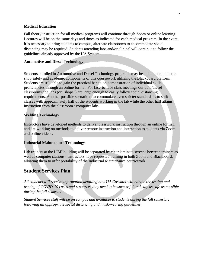#### **Medical Education**

Fall theory instruction for all medical programs will continue through Zoom or online learning. Lectures will be on the same days and times as indicated for each medical program. In the event it is necessary to bring students to campus, alternate classrooms to accommodate social distancing may be required. Students attending labs and/or clinical will continue to follow the guidelines already approved by the UA System.

#### **Automotive and Diesel Technology**

Students enrolled in Automotive and Diesel Technology programs may be able to complete the shop safety and academic components of this coursework utilizing the Blackboard platform. Students are still able to gain the practical hands-on demonstration of individual skills proficiencies through an online format. For face-to-face class meetings our auto/diesel classrooms and labs (or "shops") are large enough to easily follow social distancing requirements. Another possible scenario to accommodate even stricter standards is to split classes with approximately half of the students working in the lab while the other half attains instruction from the classroom / computer labs.

#### **Welding Technology**

Instructors have developed methods to deliver classwork instruction through an online format, and are working on methods to deliver remote instruction and interaction to students via Zoom and online videos.

#### **Industrial Maintenance Technology**

Lab trainers at the LIMI building will be separated by clear laminate screens between trainers as well as computer stations. Instructors have requested training in both Zoom and Blackboard, allowing them to offer portability of the Industrial Maintenance coursework.

#### <span id="page-7-0"></span>**Student Services Plan**

*All students will receive information detailing how UA Cossatot will handle the testing and tracing of COVID-19 cases and resources they need to be successful and stay as safe as possible during the fall semester.*

*Student Services staff will be on campus and available to students during the fall semester, following all appropriate social distancing and mask-wearing guidelines*.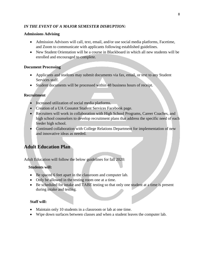#### *IN THE EVENT OF A MAJOR SEMESTER DISRUPTION:*

#### **Admissions Advising**

- Admission Advisors will call, text, email, and/or use social media platforms, Facetime, and Zoom to communicate with applicants following established guidelines.
- New Student Orientation will be a course in Blackboard in which all new students will be enrolled and encouraged to complete.

#### **Document Processing**

- Applicants and students may submit documents via fax, email, or text to any Student Services staff.
- Student documents will be processed within 48 business hours of receipt.

#### **Recruitment**

- Increased utilization of social media platforms.
- Creation of a UA Cossatot Student Services Facebook page.
- Recruiters will work in collaboration with High School Programs, Career Coaches, and high school counselors to develop recruitment plans that address the specific need of each feeder high school.
- Continued collaboration with College Relations Department for implementation of new and innovative ideas as needed.

# <span id="page-8-0"></span>**Adult Education Plan**

Adult Education will follow the below guidelines for fall 2020:

#### **Students will:**

- Be spaced 6 feet apart in the classroom and computer lab.
- Only be allowed in the testing room one at a time.
- Be scheduled for intake and TABE testing so that only one student at a time is present during intake and testing.

#### **Staff will:**

- Maintain only 10 students in a classroom or lab at one time.
- Wipe down surfaces between classes and when a student leaves the computer lab.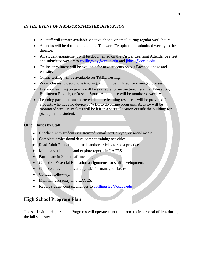#### *IN THE EVENT OF A MAJOR SEMESTER DISRUPTION:*

- All staff will remain available via text, phone, or email during regular work hours.
- All tasks will be documented on the Telework Template and submitted weekly to the director.
- All student engagement will be documented on the Virtual Learning Attendance sheet and submitted weekly to chillingsley@cccua.edu and [jblack@cccua.edu](mailto:jblack@cccua.edu).
- Online enrollment will be available for new students on our Facebook page and website.
- Online testing will be available for TABE Testing.
- Zoom classes, video/phone tutoring, etc. will be utilized for managed classes.
- Distance learning programs will be available for instruction: Essential Education, Burlington English, or Rosetta Stone. Attendance will be monitored weekly.
- Learning packets from approved distance learning resources will be provided for students who have no device or WIFI to do online programs. Activity will be monitored weekly. Packets will be left in a secure location outside the building for pickup by the student.

#### **Other Duties by Staff**

- Check-in with students via Remind, email, text, Skype, or social media.
- Complete professional development training activities.
- Read Adult Education journals and/or articles for best practices.
- Monitor student data and explore reports in LACES.
- Participate in Zoom staff meetings.
- Complete Essential Education assignments for staff development.
- Complete lesson plans and syllabi for managed classes.
- Conduct follow-up.
- Maintain data entry into LACES.
- Report student contact changes to chillingsley@cccua.edu

# <span id="page-9-0"></span>**High School Program Plan**

The staff within High School Programs will operate as normal from their personal offices during the fall semester.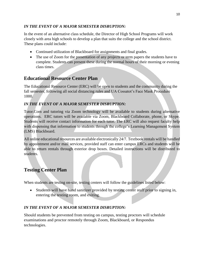#### *IN THE EVENT OF A MAJOR SEMESTER DISRUPTION:*

In the event of an alternative class schedule, the Director of High School Programs will work closely with area high schools to develop a plan that suits the college and the school district. These plans could include:

- Continued utilization of Blackboard for assignments and final grades.
- The use of Zoom for the presentation of any projects or term papers the students have to complete. Students can present these during the normal hours of their morning or evening class times.

# <span id="page-10-0"></span>**Educational Resource Center Plan**

The Educational Resource Center (ERC) will be open to students and the community during the fall semester, following all social distancing rules and UA Cossatot's Face Mask Procedure 1000.

## *IN THE EVENT OF A MAJOR SEMESTER DISRUPTION:*

Tutor.Com and tutoring via Zoom technology will be available to students during alternative operations. ERC tutors will be available via Zoom, Blackboard Collaborate, phone, or Skype. Students will receive contact information for each tutor. The ERC will also request faculty help with dispensing that information to students through the college's Learning Management System (LMS) Blackboard.

All online educational resources are available electronically 24/7. Textbook rentals will be handled by appointment and/or mail services, provided staff can enter campus ERCs and students will be able to return rentals through exterior drop boxes. Detailed instructions will be distributed to students.

# <span id="page-10-1"></span>**Testing Center Plan**

When students are testing on-site, testing centers will follow the guidelines listed below:

 Students will have hand sanitizer provided by testing center staff prior to signing in, entering the testing room, and exiting.

## *IN THE EVENT OF A MAJOR SEMESTER DISRUPTION:*

Should students be prevented from testing on campus, testing proctors will schedule examinations and proctor remotely through Zoom, Blackboard, or Respondus technologies.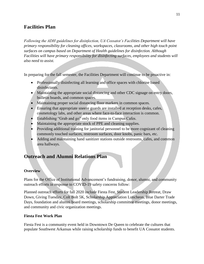# <span id="page-11-0"></span>**Facilities Plan**

*Following the ADH guidelines for disinfection, UA Cossatot's Facilities Department will have primary responsibility for cleaning offices, workspaces, classrooms, and other high touch point surfaces on campus based on Department of Health guidelines for disinfection. Although Facilities will have primary responsibility for disinfecting surfaces, employees and students will also need to assist.*

In preparing for the fall semester, the Facilities Department will continue to be proactive in:

- Professionally disinfecting all learning and office spaces with chlorine based disinfectants.
- $\bullet$  Maintaining the appropriate social distancing and other CDC signage on entry doors, bulletin boards, and common spaces.
- Maintaining proper social distancing floor markers in common spaces.
- Ensuring that appropriate sneeze guards are installed at reception desks, cafes, cosmetology labs, and other areas where face-to-face interaction is common.
- Establishing "Grab and go" only food items in Campus Cafes.
- Maintaining the appropriate stock of PPE and cleaning supplies.
- Providing additional training for janitorial personnel to be more cognizant of cleaning commonly touched surfaces, restroom surfaces, door knobs, panic bars, etc.
- Adding and maintaining hand sanitizer stations outside restrooms, cafes, and common area hallways.

# <span id="page-11-1"></span>**Outreach and Alumni Relations Plan**

#### **Overview**

Plans for the Office of Institutional Advancement's fundraising, donor, alumni, and community outreach efforts in response to COVID-19 safety concerns follow:

Planned outreach efforts for fall 2020 include Fiesta Fest, Student Leadership Retreat, Draw Down, Giving Tuesday, Colt Bolt 5K, Scholarship Appreciation Luncheon, Blue Darter Trade Days, foundation and alumni board meetings, scholarship committee meetings, donor meetings, and community and civic organization meetings.

#### **Fiesta Fest Work Plan**

Fiesta Fest is a community event held in Downtown De Queen to celebrate the cultures that populate Southwest Arkansas while raising scholarship funds to benefit UA Cossatot students.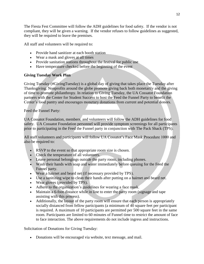The Fiesta Fest Committee will follow the ADH guidelines for food safety. If the vendor is not compliant, they will be given a warning. If the vendor refuses to follow guidelines as suggested, they will be required to leave the premises.

All staff and volunteers will be required to:

- Provide hand sanitizer at each booth station
- Wear a mask and gloves at all times
- Provide sanitation stations throughout the festival for public use
- Have temperature checked before the beginning of the event

#### **Giving Tuesday Work Plan**

Giving Tuesday (#GivingTuesday) is a global day of giving that takes place the Tuesday after Thanksgiving. Nonprofits around the globe promote giving back both monetarily and the giving of time to promote philanthropy. In relation to Giving Tuesday, the UA Cossatot Foundation partners with the Center for Student Success to host the Feed the Funnel Party to benefit the Center's food pantry and encourages monetary donations from current and potential donors.

Feed the Funnel Party:

UA Cossatot Foundation, members, and volunteers will follow the ADH guidelines for food safety. UA Cossatot Foundation personnel will provide symptom screenings for all participants prior to participating in the Feed the Funnel party in conjunction with The Pack Shack (TPS).

All staff volunteers and participants will follow UA Cossatot's Face Mask Procedure 1000 and also be required to:

- RSVP to the event so that appropriate room size is chosen.
- Check the temperature of all volunteers.
- Leave personal belongings outside the party room, including phones.
- Wash their hands with soap and water immediately before queuing for the Feed the Funnel party.
- Wear a hairnet and beard net (if necessary provided by TPS).
- Use a sanitizing wipe to clean their hands after putting on a hairnet and beard net.
- Wear gloves (provided by TPS).
- Adhere to the organization's guidelines for wearing a face mask.
- Maintain a 6-foot distance while in line to enter the party room (signage and tape assisting with this process).
- Additionally, the layout of the party room will ensure that each person is appropriately socially distanced from fellow participants (a minimum of 40 square feet per participant is required. A maximum of 10 participants are permitted per 500 square feet in the same room. Participants are limited to 60 minutes of Funnel time to restrict the amount of face to face interaction. The above requirements do not include ingress and instructions.

Solicitation of Donations for Giving Tuesday:

Donations will be encouraged via website, text message, and mail.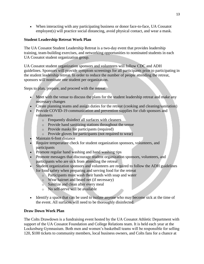When interacting with any participating business or donor face-to-face, UA Cossatot employee(s) will practice social distancing, avoid physical contact, and wear a mask.

#### **Student Leadership Retreat Work Plan**

The UA Cossatot Student Leadership Retreat is a two-day event that provides leadership training, team-building exercises, and networking opportunities to nominated students in each UA Cossatot student organization group.

UA Cossatot student organization sponsors and volunteers will follow CDC and ADH guidelines. Sponsors will provide symptom screenings for all participants prior to participating in the student leadership retreat. In order to reduce the number of people attending the retreat, sponsors will nominate one student per organization.

Steps to plan, prepare, and proceed with the retreat:

- Meet with the venue to discuss the plans for the student leadership retreat and make any necessary changes
- Create planning teams and assign duties for the retreat (cooking and cleaning/sanitation)
- Provide COVID-19 communication and prevention supplies for club sponsors and volunteers
	- o Frequently disinfect all surfaces with cleaners
	- o Provide hand sanitizing stations throughout the venue
	- o Provide masks for participants (required)
	- o Provide gloves for participants (not required to wear)
- Maintain 6-foot distance
- Require temperature check for student organization sponsors, volunteers, and participants
- Promote regular hand washing and hand washing tips
- Promote messages that discourage student organization sponsors, volunteers, and participants who are sick from attending the retreat
- Student organization sponsors and volunteers are required to follow the ADH guidelines for food safety when preparing and serving food for the retreat
	- o Participants must wash their hands with soap and water
	- o Wear hairnet and beard net (if necessary)
	- o Sanitize and clean after every meal
	- o No self-serve will be available
- Identify a space that can be used to isolate anyone who may become sick at the time of the event. All surfaces will need to be thoroughly disinfected.

#### **Draw Down Work Plan**

The Colts Drawdown is a fundraising event hosted by the UA Cossatot Athletic Department with support of the UA Cossatot Foundation and College Relations team. It is held each year at the Lockesburg Gymnasium. Both men and women's basketball teams will be responsible for selling 120, \$100 tickets to community members, local business owners, and Colts fans for a chance at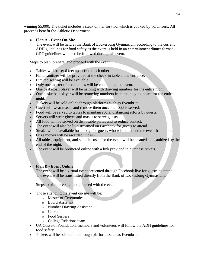winning \$5,000. The ticket includes a steak dinner for two, which is cooked by volunteers. All proceeds benefit the Athletic Department.

#### **Plan A - Event On-Site**

The event will be held at the Bank of Lockesburg Gymnasium according to the current ADH guidelines for food safety as the event is held in an entertainment dinner format. CDC guidelines will also be followed during this event.

Steps to plan, prepare, and proceed with the event:

- Tables will be set 6 feet apart from each other.
- Hand sanitizer will be provided at the check-in table at the entrance.
- Limited seating will be available.
- Only one master of ceremonies will be conducting the event.
- One basketball player will be helping with drawing numbers for the entire night.
- One basketball player will be removing numbers from the playing board for the entire night.
- Tickets will be sold online through platforms such as Eventbrite.
- Guest will wear masks and remove them once the food is served.
- Food will be served to tables to maintain social distancing efforts by guests.
- Servers will wear gloves and masks to serve guests.
- All food will be served on disposable plates and to reduce contact.
- The event will also be live-streamed on Facebook for guests to attend.
- Steaks will be available for pickup for guests who wish to attend the event from home.
- Prize money will be awarded in cash.
- All tables, equipment, and supplies used for the event will be cleaned and sanitized by the end of the night.
- The event will be promoted online with a link provided to purchase tickets.

#### **Plan B - Event Online**

The event will be a virtual event presented through Facebook live for guests to attend. The event will be transmitted directly from the Bank of Lockesburg Gymnasium.

Steps to plan, prepare, and proceed with the event:

- Those attending the event on-site will be:
	- o Master of Ceremonies
	- o Board Assistant
	- o Number Drawing Assistant
	- o Cooks
	- o Food Servers
	- o College Relations team
- UA Cossatot Foundation, members and volunteers will follow the ADH guidelines for food safety.
- Tickets will be sold online through platforms such as Eventbrite.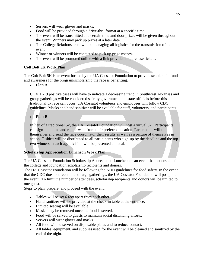- Servers will wear gloves and masks.
- Food will be provided through a drive-thru format at a specific time.
- The event will be transmitted at a certain time and door prizes will be given throughout the event. Winners may pick up prizes at a later date.
- The College Relations team will be managing all logistics for the transmission of the event.
- Winner or winners will be contacted to pick up prize money.
- The event will be promoted online with a link provided to purchase tickets.

#### **Colt Bolt 5K Work Plan**

The Colt Bolt 5K is an event hosted by the UA Cossatot Foundation to provide scholarship funds and awareness for the program/scholarship the race is benefiting.

**Plan A**

COVID-19 positive cases will have to indicate a decreasing trend in Southwest Arkansas and group gatherings will be considered safe by government and state officials before this traditional 5k race can occur. UA Cossatot volunteers and employees will follow CDC guidelines. Masks and hand sanitizer will be available for staff, volunteers, and participants.

**Plan B**

In lieu of a traditional 5k, the UA Cossatot Foundation will host a virtual 5k. Participants can sign-up online and run or walk from their preferred location. Participants will time themselves and send the race coordinator their results as well as a picture of themselves in action. T-shirts will be distributed to all participants who sign-up by the deadline and the top two winners in each age division will be presented a medal.

#### **Scholarship Appreciation Luncheon Work Plan**

The UA Cossatot Foundation Scholarship Appreciation Luncheon is an event that honors all of the college and foundation scholarship recipients and donors.

The UA Cossatot Foundation will be following the ADH guidelines for food safety. In the event that the CDC does not recommend large gatherings, the UA Cossatot Foundation will postpone the event. To limit the number of attendees, scholarship recipients and donors will be limited to one guest.

Steps to plan, prepare, and proceed with the event:

- Tables will be set 6 feet apart from each other.
- Hand sanitizer will be provided at the check-in table at the entrance.
- Limited seating will be available.
- Masks may be removed once the food is served.
- Food will be served to guests to maintain social distancing efforts.
- Servers will wear gloves and masks.
- All food will be served on disposable plates and to reduce contact.
- All tables, equipment, and supplies used for the event will be cleaned and sanitized by the end of the night.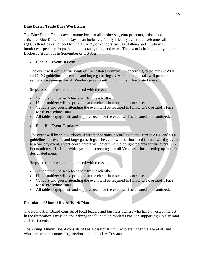#### **Blue Darter Trade Days Work Plan**

The Blue Darter Trade days promote local small businesses, entrepreneurs, artists, and artisans. Blue Darter Trade Days is an inclusive, family-friendly event that welcomes all ages. Attendees can expect to find a variety of vendors such as clothing and children's boutiques, specialty shops, handmade crafts, food, and more. The event is held annually on the Lockesburg campus in September or October.

#### **Plan A – Event in Gym**

The event will occur at the Bank of Lockesburg Gymnasium according to the current ADH and CDC guidelines for events and large gatherings. UA Foundation staff will provide symptom screenings for all Vendors prior to setting up in their designated areas.

Steps to plan, prepare, and proceed with the event:

- Vendors will be set 6 feet apart from each other.
- Hand sanitizer will be provided at the check-in table at the entrance.
- Vendors and guests attending the event will be required to follow UA Cossatot's Face Mask Procedure 1000.
- All tables, equipment, and supplies used for the event will be cleaned and sanitized.

#### **Plan B – Event Outdoors**

The event will be held outdoors, if weather permits, according to the current ADH and CDC guidelines for events and large gatherings. The event will be shortened from a two-day event to a one day event. Event coordinators will determine the designated area for the event. UA Foundation staff will provide symptom screenings for all Vendors prior to setting up in their designated areas.

Steps to plan, prepare, and proceed with the event:

- Vendors will be set 6 feet apart from each other.
- Hand sanitizer will be provided at the check-in table at the entrance.
- Vendors and guests attending the event will be required to follow UA Cossatot's Face Mask Procedure 1000.
- All tables, equipment, and supplies used for the event will be cleaned and sanitized.

#### **Foundation/Alumni Board Work Plan**

The Foundation Board consists of local leaders and business owners who have a vested interest in the foundation's mission and helping the foundation reach its goals in supporting UA Cossatot and its students.

The Young Alumni Board consists of UA Cossatot Alumni who are under the age of 40 and whose mission is connecting previous alumni to UA Cossatot.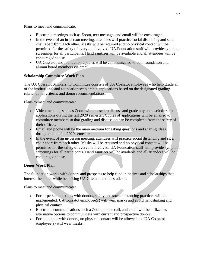Plans to meet and communicate:

- Electronic meetings such as Zoom, text message, and email will be encouraged.
- In the event of an in-person meeting, attendees will practice social distancing and sit a chair apart from each other. Masks will be required and no physical contact will be permitted for the safety of everyone involved. UA Foundation staff will provide symptom screenings for all participants. Hand sanitizer will be available and all attendees will be encouraged to use.
- UA Cossatot and foundation updates will be communicated to both foundation and alumni board members via email.

#### **Scholarship Committee Work Plan**

The UA Cossatot Scholarship Committee consists of UA Cossatot employees who help grade all of the institutional and foundation scholarship applications based on the designated grading rubric, donor criteria, and donor recommendations.

Plans to meet and communicate:

- Video meetings such as Zoom will be used to discuss and grade any open scholarship applications during the fall 2020 semester. Copies of applications will be emailed to committee members so that grading and discussion can be completed from the safety of their offices.
- Email and phone will be the main medium for asking questions and sharing ideas throughout the fall 2020 semester.
- In the event of an in-person meeting, attendees will practice social distancing and sit a chair apart from each other. Masks will be required and no physical contact will be permitted for the safety of everyone involved. UA Foundation staff will provide symptom screenings for all participants. Hand sanitizer will be available and all attendees will be encouraged to use.

#### **Donor Work Plan**

The foundation works with donors and prospects to help fund initiatives and scholarships that interest the donor while benefiting UA Cossatot and its students.

Plans to meet and communicate:

- For in-person meetings with donors, safety and social distancing practices will be implemented. UA Cossatot employee(s) will wear masks and avoid handshaking and physical contact.
- Electronic communications such a Zoom, phone call, and email will be utilized as alternative options to communicate with current and prospective donors.
- For photo ops with donors, no physical contact will be allowed and UA Cossatot employee(s) will wear masks.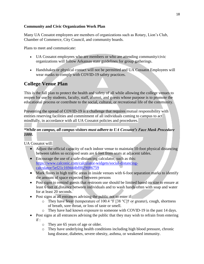#### **Community and Civic Organization Work Plan**

Many UA Cossatot employees are members of organizations such as Rotary, Lion's Club, Chamber of Commerce, City Council, and community boards.

Plans to meet and communicate:

- UA Cossatot employees who are members or who are attending community/civic organizations will follow Arkansas state guidelines for group gatherings.
- Handshakes or physical contact will not be permitted and UA Cossatot Employees will wear masks to comply with COVID-19 safety practices.

# <span id="page-18-0"></span>**College Venue Plan**

This is the fall plan to protect the health and safety of all while allowing the college venues to reopen for use by students, faculty, staff, alumni, and guests whose purpose is to promote the educational process or contribute to the social, cultural, or recreational life of the community.

Preventing the spread of COVID-19 is a challenge that requires mutual responsibility with entities reserving facilities and commitment of all individuals coming to campus to act mindfully, in accordance with all UA Cossatot policies and procedures.

#### *\*While on campus, all campus visitors must adhere to UA Cossatot's Face Mask Procedure 1000.*

UA Cossatot will:

- Adjust the official capacity of each indoor venue to maintain 10-foot physical distancing between tables so occupied seats are 6 feet from seats at adjacent tables.
- Encourage the use of a safe-distancing calculator, such as this: [https://www.calconic.com/calculator-widgets/social-distancing](https://www.calconic.com/calculator-widgets/social-distancing-calculator/5ef21c169444bf0029086759)[calculator/5ef21c169444bf0029086759](https://www.calconic.com/calculator-widgets/social-distancing-calculator/5ef21c169444bf0029086759)
- Mark floors in high traffic areas in inside venues with 6-foot separation marks to identify the amount of space expected between persons
- Post signs to remind guests that restroom use should be limited based on size to ensure at least 6 feet of distance between individuals and to wash hands often with soap and water for at least 20 seconds.
- Post signs at all entrances advising the public not to enter if:
	- o They have fever (temperature of 100.4 °F [38 °C] $\dagger$  or greater), cough, shortness of breath, sore throat, or loss of taste or smell.
	- o They have had known exposure to someone with COVID-19 in the past 14 days.
- Post signs at all entrances advising the public that they may wish to refrain from entering if :
	- o They are 65 years of age or older.
	- o They have underlying health conditions including high blood pressure, chronic lung disease, diabetes, severe obesity, asthma, or weakened immunity.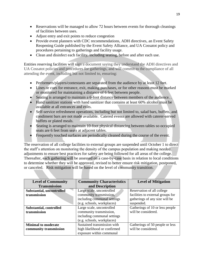- Reservations will be managed to allow 72 hours between events for thorough cleanings of facilities between uses.
- Adjust entry and exit points to reduce congestion
- Provide event planners with CDC recommendations, ADH directives, an Event Safety Reopening Guide published by the Event Safety Alliance, and UA Cossatot policy and procedures pertaining to gatherings and facility usage.
- Clean and disinfect each facility, including seating, before and after each use.

Entities reserving facilities will sign a document saying they understand the ADH directives and UA Cossatot policies and procedures for gatherings, and will commit to the compliance of all attending the event, including but not limited to, ensuring:

- Performers/players/contestants are separated from the audience by at least 12 feet.
- Lines or cues for entrance, exit, making purchases, or for other reasons must be marked or monitored for maintaining a distance of 6 feet between people.
- Seating is arranged to maintain a 6-foot distance between members of the audience. .
- Hand sanitizer stations with hand sanitizer that contains at least 60% alcohol must be available at all entrances and exits.
- Self-service refreshment operations, including but not limited to, salad bars, buffets, and condiment bars are not made available. Catered events are allowed with caterer-served buffets or plated meals.
- Seating is arranged to maintain 10-foot physical distancing between tables so occupied seats are 6 feet from seats at adjacent tables.
- Frequently touched surfaces are periodically cleaned during the course of the event.

The reservation of all college facilities to external groups are suspended until October 1 to direct the staff's attention on monitoring the density of the campus population and making needed adjustments to ensure best practices for safety are being followed for all areas of the college. Thereafter, **e**ach gathering will be assessed on a case-by-case basis in relation to local conditions to determine whether they will be approved, revised to better ensure risk mitigation, postponed, or canceled. Risk mitigation will be based on the level of community transition.

| <b>Level of Community</b>      | <b>Community Characteristics</b> | <b>Level of Mitigation</b>        |
|--------------------------------|----------------------------------|-----------------------------------|
| <b>Transmission</b>            | and Description                  |                                   |
| Substantial, uncontrolled      | Large scale, uncontrolled        | Reservation of all college        |
| transmission                   | community transmission,          | facilities to external groups for |
|                                | including communal settings      | gatherings of any size will be    |
|                                | (e.g. schools, workplaces)       | suspended.                        |
| <b>Substantial, controlled</b> | Large scale, uncontrolled        | Gatherings of 10 or less people   |
| transmission                   | community transmission,          | will be considered.               |
|                                | including communal settings      |                                   |
|                                | (e.g. schools, workplaces)       |                                   |
| <b>Minimal to moderate</b>     | Sustained transmission with      | Gatherings of 50 people or less   |
| community transmission         | high likelihood or confirmed     | will be considered.               |
|                                | exposure within communal         |                                   |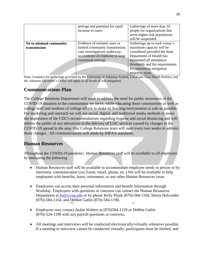|                         | settings and potential for rapid | Gatherings of more than 10      |
|-------------------------|----------------------------------|---------------------------------|
|                         | increase in cases                | people for organizations that   |
|                         |                                  | serve higher-risk populations   |
|                         |                                  | will be suspended.              |
| No to minimal community | Evidence of isolated cases or    | Gatherings up to each venue's   |
| transmission            | limited community transmission,  | maximum capacity will be        |
|                         | case investigations underway;    | considered provided the State   |
|                         | no evidence of exposure in large | Department of Health has        |
|                         | communal settings                | eliminated all attendance       |
|                         |                                  | thresholds and the requirements |
|                         |                                  | for submitting mitigation       |
|                         |                                  | response plans.                 |

Note: Guidance for gatherings provided by the University of Arkansas System, Local and State Health Entities, and the Arkansas Governor's Office will apply to all levels of risk mitigation.

# <span id="page-20-0"></span>**Communications Plan**

The College Relations Department will work to address the need for public awareness of the COVID-19 situation in the communities we serve, while educating those communities as well as college staff and students of college efforts to make its learning environment as safe as possible. For marketing and outreach we will use social, digital, and traditional media methods to stress the importance of the CDC's recommendations regarding hygiene and social distancing and will inform the public of any alterations in the delivery of UAC services caused by changes in the COVID-19 spread in the area. Our College Relations team will meet every two weeks to address those changes. All communications will abide by HIPAA standards.

# <span id="page-20-1"></span>**Human Resources**

*Throughout the COVID-19 pandemic, Human Resources staff will be available to all employees by instituting the following:*

- Human Resources staff will be available to accommodate employee needs in person or by electronic communication (via Zoom, email, phone, etc.).We will be available to help employees with benefits, leave, retirement, or any other Human Resources issue.
- Employees can access their personal information and benefit information through Workday. Employees with questions or concerns can contact the Human Resources Department at [hr@cccua.edu](mailto:hr@cccua.edu) or by phone Kelly Plunk (870)-584-1104, Sheila Holcombe (870)-584-1164, and Debbie Gatlin (870)-584-1190.
- Employees may contact Jackie Walters at (870)584-1129 or Debbie Gatlin (870)-524-1190 with any payroll questions or concerns.
- All meetings and interviews will be conducted electronically/virtually whenever possible. If a meeting or interview cannot be conducted virtually, participants must be limited, and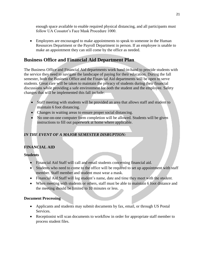enough space available to enable required physical distancing, and all participants must follow UA Cossatot's Face Mask Procedure 1000.

 Employees are encouraged to make appointments to speak to someone in the Human Resources Department or the Payroll Department in person. If an employee is unable to make an appointment they can still come by the office as needed.

# <span id="page-21-0"></span>**Business Office and Financial Aid Department Plan**

The Business Office and Financial Aid departments work hand-in-hand to provide students with the service they need to navigate the landscape of paying for their education. During the fall semester, both the Business Office and the Financial Aid departments will be open to serve students. Great care will be taken to maintain the privacy of students during their financial discussions while providing a safe environment for both the student and the employee. Safety changes that will be implemented this fall include:

- Staff meeting with students will be provided an area that allows staff and student to maintain 6 foot distancing.
- Changes in waiting areas to ensure proper social distancing.
- No one-on-one computer form completion will be allowed. Students will be given instructions to fill out paperwork at home where applicable.

#### *IN THE EVENT OF A MAJOR SEMESTER DISRUPTION:*

#### **FINANCIAL AID**

#### **Students**

- Financial Aid Staff will call and email students concerning financial aid.
- Students who need to come to the office will be required to set up appointment with staff member. Staff member and student must wear a mask.
- Financial Aid Staff will log student's name, date and time they meet with the student.
- When meeting with students or others, staff must be able to maintain 6 foot distance and the meeting should be limited to 10 minutes or less.

#### **Document Processing**

- Applicants and students may submit documents by fax, email, or through US Postal Services.
- Receptionist will scan documents to workflow in order for appropriate staff member to process student files.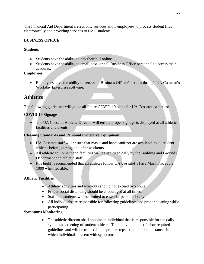The Financial Aid Department's electronic services allow employees to process student files electronically and providing services to UAC students.

#### **BUSINESS OFFICE**

#### **Students**

- Students have the ability to pay their bill online
- Students have the ability to email, text, or call Business Office personnel to access their accounts.

#### **Employees**

 Employees have the ability to access all Business Office functions through UA Cossatot's Workday Enterprise software.

# <span id="page-22-0"></span>**Athletics**

The following guidelines will guide all future COVID-19 plans for UA Cossatot Athletics:

#### **COVID-19 Signage**

 The UA Cossatot Athletic Director will ensure proper signage is displayed at all athletic facilities and events.

#### **Cleaning Standards and Personal Protective Equipment**

- UA Cossatot staff will ensure that masks and hand sanitizer are available to all student athletes before, during, and after workouts.
- All athletic equipment and facilities will be sanitized daily by the Building and Grounds Department and athletic staff.
- It is highly recommended that all athletes follow UA Cossatot's Face Mask Procedure 1000 when feasible.

#### **Athletic Facilities**

- Athletic activities and workouts should not exceed two hours.
- Proper social distancing should be encouraged at all times.
- Staff and students will be limited to essential personnel only.
- All individuals are responsible for following guidelines and proper cleaning while participating.

#### **Symptoms Monitoring**

• The athletic director shall appoint an individual that is responsible for the daily symptom screening of student athletes. This individual must follow required guidelines and will be trained in the proper steps to take in circumstances in which individuals present with symptoms.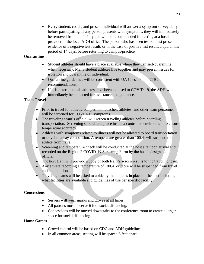Every student, coach, and present individual will answer a symptom survey daily before participating. If any person presents with symptoms, they will immediately be removed from the facility and will be recommended for testing at a local provider or the local ADH office. The person who has been tested must present evidence of a negative test result, or in the case of positive test result, a quarantine period of 14 days, before returning to campus/practice.

#### **Quarantine**

- Student athletes should have a place available where they can self-quarantine when necessary. Many student athletes live together and may present issues for isolation and quarantine of individual.
- Quarantine guidelines will be consistent with UA Cossatot and CDC recommendations.
- If it is determined all athletes have been exposed to COVID-19, the ADH will immediately be contacted for assistance and guidance.

#### **Team Travel**

- Prior to travel for athletic competition, coaches, athletes, and other team personnel will be screened for COVID-19 symptoms.
- The traveling team's official will screen traveling athletes before boarding transportation. Screening should take place inside a controlled environment to ensure temperature accuracy.
- Athletes with symptoms related to illness will not be allowed to board transportation or travel to away competition. A temperature greater than 100.4º will suspend the athlete from travel.
- Screening and temperature check will be conducted at the host site upon arrival and recorded on the Region 2 COVID-19 Screening Form by the host's designated official.
- The host team will provide a copy of both team's screen results to the traveling team.
- Any athlete recording a temperature of 100.4° or more will be suspended from travel and competition.
- Traveling teams will be asked to abide by the policies in place of the host including what facilities are available and guidelines of use per specific facility.

#### **Concessions**

- Servers will wear masks and gloves at all times.
- All patrons must observe 6 foot social distancing.
- Concessions will be moved downstairs to the conference room to create a larger space for social distancing.

#### **Home Games**

- Crowd control will be based on CDC and ADH guidelines.
- In all common areas, seating will be spaced 6 feet apart.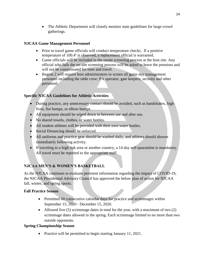• The Athletic Department will closely monitor state guidelines for large crowd gatherings.

#### **NJCAA Game Management Personnel**

- Prior to travel game officials will conduct temperature checks. If a positive temperature of 100.4º is observed, a replacement official is warranted.
- Game officials will be included in the onsite screening process at the host site. Any official who fails the on-site screening process will be asked to leave the premises and will not be compensated for time and travel.
- Region 2 will require host administrators to screen all game day management personnel including the table crew; PA operator, gate keepers, security and other personnel.

#### **Specific NJCAA Guidelines for Athletic Activities**

- During practice, any unnecessary contact should be avoided, such as handshakes, high fives, fist bumps, or elbow bumps.
- All equipment should be wiped down in between use and after use.
- No shared towels, clothes, or water bottles.
- All student athletes will be provided with their own water bottles.
- Social Distancing should be enforced.
- All uniforms and practice gear should be washed daily, and athletes should shower immediately following activity.
- If traveling to a high risk area or another country, a 14 day self-quarantine is mandatory. All travel must be reported to the appropriate staff.

#### **NJCAA MEN'S & WOMEN'S BASKETBALL**

As the NJCAA continues to evaluate pertinent information regarding the impact of COVID-19, the NJCAA Presidential Advisory Council has approved the below plan of action for NJCAA fall, winter, and spring sports.

#### **Fall Practice Season**

- Permitted 60 consecutive calendar days for practice and scrimmages within September 15, 2020 - December 15, 2020.
- Allowed five  $(5)$  scrimmage dates in total for the year, with a maximum of two  $(2)$ scrimmage dates allowed in the spring. Each scrimmage limited to no more than two outside opponents.

#### **Spring Championship Season**

• Practice will be permitted to begin starting January 11, 2021.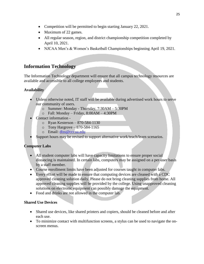- Competition will be permitted to begin starting January 22, 2021.
- Maximum of 22 games.
- All regular season, region, and district championship competition completed by April 10, 2021.
- NJCAA Men's & Women's Basketball Championships beginning April 19, 2021.

# <span id="page-25-0"></span>**Information Technology**

The Information Technology department will ensure that all campus technology resources are available and accessible to all college employees and students.

#### **Availability**

- Unless otherwise noted, IT staff will be available during advertised work hours to serve our community of users.
	- o Summer: Monday Thursday, 7:30AM 5:30PM
	- $\circ$  Fall: Monday Friday, 8:00AM 4:30PM
- Contact information
	- o Ryan Kesterson 870-584-1130
	- $\circ$  Tony Hargrove 870-584-1165
	- o Email: [diss@cccua.edu](mailto:diss@cccua.edu)
- Support hours may be revised to support alternative work/teach/learn scenarios.

#### **Computer Labs**

- All student computer labs will have capacity limitations to ensure proper social distancing is maintained. In certain labs, computers may be assigned on a per-user basis by a staff member.
- Course enrollment limits have been adjusted for courses taught in computer labs.
- Every effort will be made to ensure that computing devices are cleaned with a CDC approved cleaning solution daily. Please do not bring cleaning supplies from home. All approved cleaning supplies will be provided by the college. Using unapproved cleaning solutions on electronic equipment can possibly damage the equipment.
- Food and drinks are not allowed in the computer lab.

#### **Shared Use Devices**

- Shared use devices, like shared printers and copiers, should be cleaned before and after each use.
- To minimize contact with multifunction screens, a stylus can be used to navigate the onscreen menus.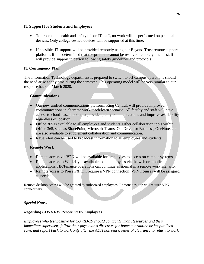#### **IT Support for Students and Employees**

- To protect the health and safety of our IT staff, no work will be performed on personal devices. Only college-owned devices will be supported at this time.
- If possible, IT support will be provided remotely using our Beyond Trust remote support platform. If it is determined that the problem cannot be resolved remotely, the IT staff will provide support in person following safety guidelines and protocols.

#### **IT Contingency Plan**

The Information Technology department is prepared to switch to off campus operations should the need arise at any time during the semester. This operating model will be very similar to our response back in March 2020.

#### **Communications**

- Our new unified communications platform, Ring Central, will provide improved communications in alternate work/teach/learn scenario. All faculty and staff will have access to cloud-based tools that provide quality communications and improve availability regardless of location.
- Office 365 is available to all employees and students. Other collaboration tools within Office 365, such as SharePoint, Microsoft Teams, OneDrive for Business, OneNote, etc. are also available to supplement collaboration and communication.
- Rave Alert can be used to broadcast information to all employees and students.

#### **Remote Work**

- Remote access via VPN will be available for employees to access on campus systems.
- Remote access to Workday is available to all employees via the web or mobile applications. HR/Finance operations can continue as normal in a remote work scenario.
- Remote access to Poise PX will require a VPN connection. VPN licenses will be assigned as needed.

Remote desktop access will be granted to authorized employees. Remote desktop will require VPN connectivity.

#### *Special Notes:*

#### *Regarding COVID-19 Reporting By Employees*

*Employees who test positive for COVID-19 should contact Human Resources and their immediate supervisor, follow their physician's directives for home quarantine or hospitalized care, and report back to work only after the ADH has sent a letter of clearance to return to work.*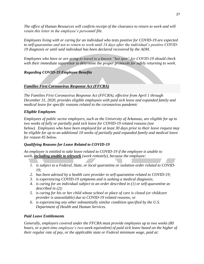*The office of Human Resources will confirm receipt of the clearance to return to work and will retain this letter in the employee's personnel file.* 

*Employees living with or caring for an individual who tests positive for COVID-19 are expected to self-quarantine and not to return to work until 14 days after the individual's positive COVID-19 diagnosis or until said individual has been declared recovered by the ADH.*

*Employees who have or are going to travel to a known "hot spot" for COVID-19 should check with their immediate supervisor to determine the proper protocols for safely returning to work.*

#### *Regarding COVID-19 Employee Benefits*

#### *Families First Coronavirus Response Act (FFCRA)*

*The Families First Coronavirus Response Act (FFCRA), effective from April 1 through December 31, 2020, provides eligible employees with paid sick leave and expanded family and medical leave for specific reasons related to the coronavirus pandemic*

#### *Eligible Employees*

*Employees of public sector employers, such as the University of Arkansas, are eligible for up to two weeks of fully or partially paid sick leave for COVID-19 related reasons (see below). Employees who have been employed for at least 30 days prior to their leave request may be eligible for up to an additional 10 weeks of partially paid expanded family and medical leave for reason #5 below.*

#### *Qualifying Reasons for Leave Related to COVID-19*

*An employee is entitled to take leave related to COVID-19 if the employee is unable to work, including unable to telework (work remotely), because the employee:*

- *1. is subject to a Federal, State, or local quarantine or isolation order related to COVID-19;*
- *2. has been advised by a health care provider to self-quarantine related to COVID-19;*
- *3. is experiencing COVID-19 symptoms and is seeking a medical diagnosis;*
- *4. is caring for an individual subject to an order described in (1) or self-quarantine as described in (2);*
- *5. is caring for his or her child whose school or place of care is closed (or childcare provider is unavailable) due to COVID-19 related reasons; or*
- *6. is experiencing any other substantially similar condition specified by the U.S. Department of Health and Human Services.*

#### *Paid Leave Entitlements*

*Generally, employers covered under the FFCRA must provide employees up to two weeks (80 hours, or a part-time employee's two-week equivalent) of paid sick leave based on the higher of their regular rate of pay, or the applicable state or Federal minimum wage, paid at:*